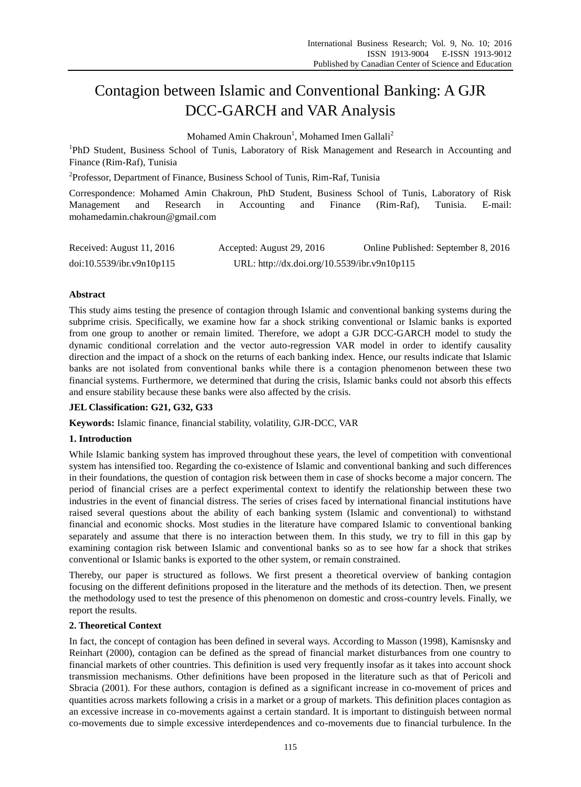# Contagion between Islamic and Conventional Banking: A GJR DCC-GARCH and VAR Analysis

Mohamed Amin Chakroun<sup>1</sup>, Mohamed Imen Gallali<sup>2</sup>

<sup>1</sup>PhD Student, Business School of Tunis, Laboratory of Risk Management and Research in Accounting and Finance (Rim-Raf), Tunisia

<sup>2</sup>Professor, Department of Finance, Business School of Tunis, Rim-Raf, Tunisia

Correspondence: Mohamed Amin Chakroun, PhD Student, Business School of Tunis, Laboratory of Risk Management and Research in Accounting and Finance (Rim-Raf), Tunisia. E-mail: mohamedamin.chakroun@gmail.com

| Received: August 11, 2016 | Accepted: August 29, 2016                    | Online Published: September 8, 2016 |
|---------------------------|----------------------------------------------|-------------------------------------|
| doi:10.5539/ibr.v9n10p115 | URL: http://dx.doi.org/10.5539/ibr.v9n10p115 |                                     |

## **Abstract**

This study aims testing the presence of contagion through Islamic and conventional banking systems during the subprime crisis. Specifically, we examine how far a shock striking conventional or Islamic banks is exported from one group to another or remain limited. Therefore, we adopt a GJR DCC-GARCH model to study the dynamic conditional correlation and the vector auto-regression VAR model in order to identify causality direction and the impact of a shock on the returns of each banking index. Hence, our results indicate that Islamic banks are not isolated from conventional banks while there is a contagion phenomenon between these two financial systems. Furthermore, we determined that during the crisis, Islamic banks could not absorb this effects and ensure stability because these banks were also affected by the crisis.

## **JEL Classification: G21, G32, G33**

**Keywords:** Islamic finance, financial stability, volatility, GJR-DCC, VAR

## **1. Introduction**

While Islamic banking system has improved throughout these years, the level of competition with conventional system has intensified too. Regarding the co-existence of Islamic and conventional banking and such differences in their foundations, the question of contagion risk between them in case of shocks become a major concern. The period of financial crises are a perfect experimental context to identify the relationship between these two industries in the event of financial distress. The series of crises faced by international financial institutions have raised several questions about the ability of each banking system (Islamic and conventional) to withstand financial and economic shocks. Most studies in the literature have compared Islamic to conventional banking separately and assume that there is no interaction between them. In this study, we try to fill in this gap by examining contagion risk between Islamic and conventional banks so as to see how far a shock that strikes conventional or Islamic banks is exported to the other system, or remain constrained.

Thereby, our paper is structured as follows. We first present a theoretical overview of banking contagion focusing on the different definitions proposed in the literature and the methods of its detection. Then, we present the methodology used to test the presence of this phenomenon on domestic and cross-country levels. Finally, we report the results.

## **2. Theoretical Context**

In fact, the concept of contagion has been defined in several ways. According to Masson (1998), Kamisnsky and Reinhart (2000), contagion can be defined as the spread of financial market disturbances from one country to financial markets of other countries. This definition is used very frequently insofar as it takes into account shock transmission mechanisms. Other definitions have been proposed in the literature such as that of Pericoli and Sbracia (2001). For these authors, contagion is defined as a significant increase in co-movement of prices and quantities across markets following a crisis in a market or a group of markets. This definition places contagion as an excessive increase in co-movements against a certain standard. It is important to distinguish between normal co-movements due to simple excessive interdependences and co-movements due to financial turbulence. In the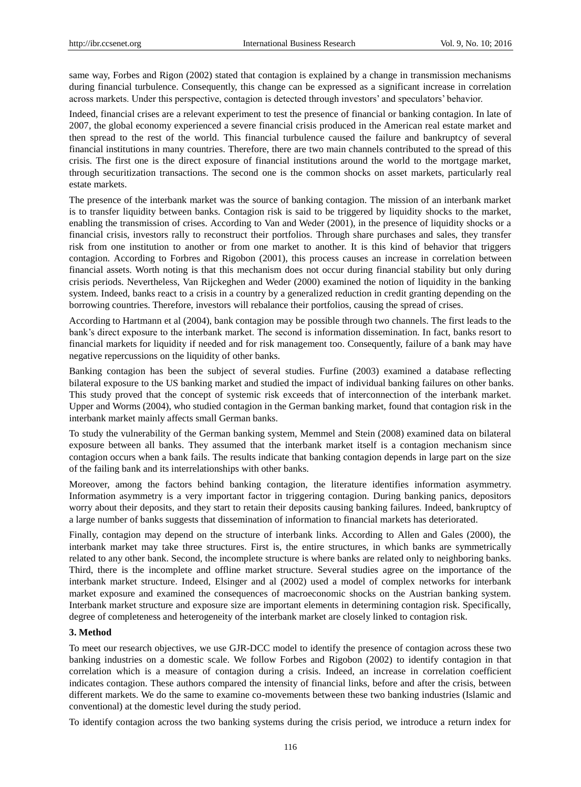same way, Forbes and Rigon (2002) stated that contagion is explained by a change in transmission mechanisms during financial turbulence. Consequently, this change can be expressed as a significant increase in correlation across markets. Under this perspective, contagion is detected through investors' and speculators' behavior.

Indeed, financial crises are a relevant experiment to test the presence of financial or banking contagion. In late of 2007, the global economy experienced a severe financial crisis produced in the American real estate market and then spread to the rest of the world. This financial turbulence caused the failure and bankruptcy of several financial institutions in many countries. Therefore, there are two main channels contributed to the spread of this crisis. The first one is the direct exposure of financial institutions around the world to the mortgage market, through securitization transactions. The second one is the common shocks on asset markets, particularly real estate markets.

The presence of the interbank market was the source of banking contagion. The mission of an interbank market is to transfer liquidity between banks. Contagion risk is said to be triggered by liquidity shocks to the market, enabling the transmission of crises. According to Van and Weder (2001), in the presence of liquidity shocks or a financial crisis, investors rally to reconstruct their portfolios. Through share purchases and sales, they transfer risk from one institution to another or from one market to another. It is this kind of behavior that triggers contagion. According to Forbres and Rigobon (2001), this process causes an increase in correlation between financial assets. Worth noting is that this mechanism does not occur during financial stability but only during crisis periods. Nevertheless, Van Rijckeghen and Weder (2000) examined the notion of liquidity in the banking system. Indeed, banks react to a crisis in a country by a generalized reduction in credit granting depending on the borrowing countries. Therefore, investors will rebalance their portfolios, causing the spread of crises.

According to Hartmann et al (2004), bank contagion may be possible through two channels. The first leads to the bank's direct exposure to the interbank market. The second is information dissemination. In fact, banks resort to financial markets for liquidity if needed and for risk management too. Consequently, failure of a bank may have negative repercussions on the liquidity of other banks.

Banking contagion has been the subject of several studies. Furfine (2003) examined a database reflecting bilateral exposure to the US banking market and studied the impact of individual banking failures on other banks. This study proved that the concept of systemic risk exceeds that of interconnection of the interbank market. Upper and Worms (2004), who studied contagion in the German banking market, found that contagion risk in the interbank market mainly affects small German banks.

To study the vulnerability of the German banking system, Memmel and Stein (2008) examined data on bilateral exposure between all banks. They assumed that the interbank market itself is a contagion mechanism since contagion occurs when a bank fails. The results indicate that banking contagion depends in large part on the size of the failing bank and its interrelationships with other banks.

Moreover, among the factors behind banking contagion, the literature identifies information asymmetry. Information asymmetry is a very important factor in triggering contagion. During banking panics, depositors worry about their deposits, and they start to retain their deposits causing banking failures. Indeed, bankruptcy of a large number of banks suggests that dissemination of information to financial markets has deteriorated.

Finally, contagion may depend on the structure of interbank links. According to Allen and Gales (2000), the interbank market may take three structures. First is, the entire structures, in which banks are symmetrically related to any other bank. Second, the incomplete structure is where banks are related only to neighboring banks. Third, there is the incomplete and offline market structure. Several studies agree on the importance of the interbank market structure. Indeed, Elsinger and al (2002) used a model of complex networks for interbank market exposure and examined the consequences of macroeconomic shocks on the Austrian banking system. Interbank market structure and exposure size are important elements in determining contagion risk. Specifically, degree of completeness and heterogeneity of the interbank market are closely linked to contagion risk.

#### **3. Method**

To meet our research objectives, we use GJR-DCC model to identify the presence of contagion across these two banking industries on a domestic scale. We follow Forbes and Rigobon (2002) to identify contagion in that correlation which is a measure of contagion during a crisis. Indeed, an increase in correlation coefficient indicates contagion. These authors compared the intensity of financial links, before and after the crisis, between different markets. We do the same to examine co-movements between these two banking industries (Islamic and conventional) at the domestic level during the study period.

To identify contagion across the two banking systems during the crisis period, we introduce a return index for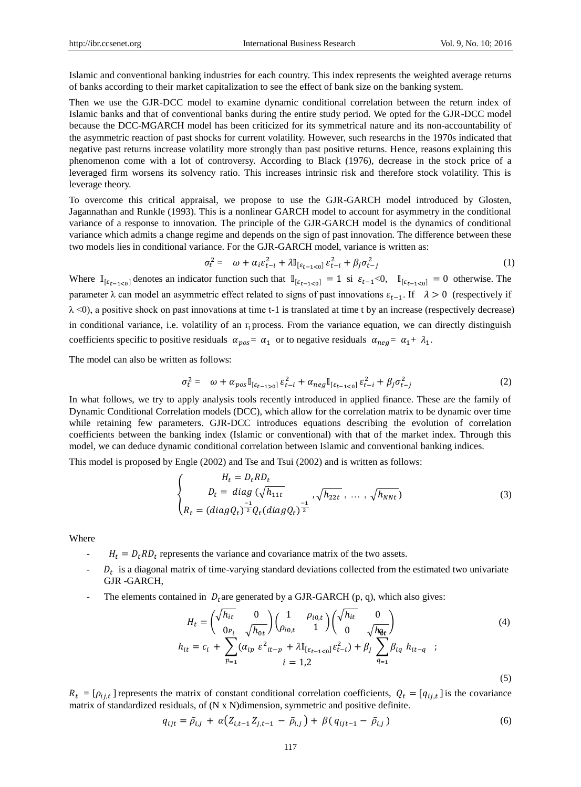Islamic and conventional banking industries for each country. This index represents the weighted average returns of banks according to their market capitalization to see the effect of bank size on the banking system.

Then we use the GJR-DCC model to examine dynamic conditional correlation between the return index of Islamic banks and that of conventional banks during the entire study period. We opted for the GJR-DCC model because the DCC-MGARCH model has been criticized for its symmetrical nature and its non-accountability of the asymmetric reaction of past shocks for current volatility. However, such researchs in the 1970s indicated that negative past returns increase volatility more strongly than past positive returns. Hence, reasons explaining this phenomenon come with a lot of controversy. According to Black (1976), decrease in the stock price of a leveraged firm worsens its solvency ratio. This increases intrinsic risk and therefore stock volatility. This is leverage theory.

To overcome this critical appraisal, we propose to use the GJR-GARCH model introduced by Glosten, Jagannathan and Runkle (1993). This is a nonlinear GARCH model to account for asymmetry in the conditional variance of a response to innovation. The principle of the GJR-GARCH model is the dynamics of conditional variance which admits a change regime and depends on the sign of past innovation. The difference between these two models lies in conditional variance. For the GJR-GARCH model, variance is written as:

$$
\sigma_t^2 = \omega + \alpha_i \varepsilon_{t-i}^2 + \lambda \mathbb{I}_{\{\varepsilon_{t-1} < 0\}} \varepsilon_{t-i}^2 + \beta_j \sigma_{t-j}^2 \tag{1}
$$

Where  $\mathbb{I}_{\{\varepsilon_{t-1}<0\}}$  denotes an indicator function such that  $\mathbb{I}_{\{\varepsilon_{t-1}<0\}} = 1$  si  $\varepsilon_{t-1}<0$ ,  $\mathbb{I}_{\{\varepsilon_{t-1}<0\}} = 0$  otherwise. The parameter  $\lambda$  can model an asymmetric effect related to signs of past innovations  $\varepsilon_{t-1}$ . If  $\lambda > 0$  (respectively if  $\lambda$  <0), a positive shock on past innovations at time t-1 is translated at time t by an increase (respectively decrease) in conditional variance, i.e. volatility of an  $r_t$  process. From the variance equation, we can directly distinguish coefficients specific to positive residuals  $\alpha_{pos} = \alpha_1$  or to negative residuals  $\alpha_{neg} = \alpha_1 + \lambda_1$ .

The model can also be written as follows:

$$
\sigma_t^2 = \omega + \alpha_{pos} \mathbb{I}_{[\varepsilon_{t-1} > 0]} \varepsilon_{t-i}^2 + \alpha_{neg} \mathbb{I}_{[\varepsilon_{t-1} < 0]} \varepsilon_{t-i}^2 + \beta_j \sigma_{t-j}^2 \tag{2}
$$

In what follows, we try to apply analysis tools recently introduced in applied finance. These are the family of Dynamic Conditional Correlation models (DCC), which allow for the correlation matrix to be dynamic over time while retaining few parameters. GJR-DCC introduces equations describing the evolution of correlation coefficients between the banking index (Islamic or conventional) with that of the market index. Through this model, we can deduce dynamic conditional correlation between Islamic and conventional banking indices.

This model is proposed by Engle (2002) and Tse and Tsui (2002) and is written as follows:

$$
\begin{cases}\nH_t = D_t R D_t \\
D_t = diag(\sqrt{h_{11t}} \\
R_t = (diag Q_t)^{\frac{-1}{2}} Q_t (diag Q_t)^{\frac{-1}{2}}\n\end{cases}, \sqrt{h_{22t}}, \dots, \sqrt{h_{NNt}})
$$
\n(3)

Where

- $H_t = D_t R D_t$  represents the variance and covariance matrix of the two assets.
- $I D_t$  is a diagonal matrix of time-varying standard deviations collected from the estimated two univariate GJR -GARCH,
- The elements contained in  $D_t$  are generated by a GJR-GARCH (p, q), which also gives:

$$
H_{t} = \left(\sqrt{\frac{h_{it}}{h_{tt}}} \right) \left(\frac{1}{\rho_{i0,t}} \right) \left(\sqrt{\frac{h_{it}}{h_{tt}}} \right) \left(\sqrt{\frac{h_{it}}{h_{tt}}} \right)
$$
\n
$$
h_{it} = c_{i} + \sum_{p=1}^{N} (\alpha_{ip} \epsilon^{2}_{it-p} + \lambda \mathbb{I}_{[\epsilon_{t-1} < 0]} \epsilon_{t-i}^{2}) + \beta_{j} \sum_{q=1}^{N} \beta_{iq} h_{it-q} ; \tag{4}
$$
\n
$$
i = 1,2 \tag{5}
$$

 $R_t = [\rho_{ij,t}]$  represents the matrix of constant conditional correlation coefficients,  $Q_t = [q_{ij,t}]$  is the covariance matrix of standardized residuals, of  $(N \times N)$ dimension, symmetric and positive definite.

$$
q_{ijt} = \bar{\rho}_{i,j} + \alpha \big( Z_{i,t-1} Z_{j,t-1} - \bar{\rho}_{i,j} \big) + \beta \big( q_{ijt-1} - \bar{\rho}_{i,j} \big) \tag{6}
$$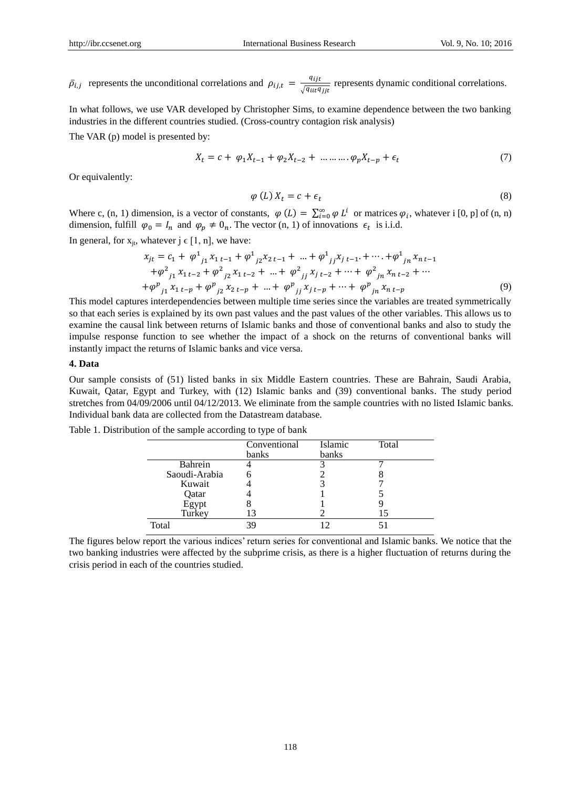$\bar{\rho}_{i,j}$  represents the unconditional correlations and  $\rho_{ij,t} = \frac{q_{ij,t}}{\sqrt{q_{ij,t}}}$  $\frac{q_{ijt}}{\sqrt{q_{iit}q_{jit}}}$  represents dynamic conditional correlations.

In what follows, we use VAR developed by Christopher Sims, to examine dependence between the two banking industries in the different countries studied. (Cross-country contagion risk analysis)

The VAR (p) model is presented by:

$$
X_t = c + \varphi_1 X_{t-1} + \varphi_2 X_{t-2} + \dots + \varphi_p X_{t-p} + \epsilon_t
$$
\n(7)

Or equivalently:

$$
\varphi(L) X_t = c + \epsilon_t \tag{8}
$$

Where c, (n, 1) dimension, is a vector of constants,  $\varphi(L) = \sum_{i=0}^{\infty} \varphi L^i$  or matrices  $\varphi_i$ , whatever i [0, p] of (n, n) dimension, fulfill  $\varphi_0 = I_n$  and  $\varphi_p \neq 0_n$ . The vector (n, 1) of innovations  $\epsilon_t$  is i.i.d.

In general, for  $x_{jt}$ , whatever  $j \in [1, n]$ , we have:

$$
x_{jt} = c_1 + \varphi^1_{j1} x_{1 t-1} + \varphi^1_{j2} x_{2 t-1} + \dots + \varphi^1_{j j} x_{j t-1} + \dots + \varphi^1_{j n} x_{n t-1} + \varphi^2_{j1} x_{1 t-2} + \varphi^2_{j2} x_{1 t-2} + \dots + \varphi^2_{j j} x_{j t-2} + \dots + \varphi^2_{j n} x_{n t-2} + \dots + \varphi^p_{j1} x_{1 t-p} + \varphi^p_{j2} x_{2 t-p} + \dots + \varphi^p_{j j} x_{j t-p} + \dots + \varphi^p_{j n} x_{n t-p}
$$
\n(9)

This model captures interdependencies between multiple time series since the variables are treated symmetrically so that each series is explained by its own past values and the past values of the other variables. This allows us to examine the causal link between returns of Islamic banks and those of conventional banks and also to study the impulse response function to see whether the impact of a shock on the returns of conventional banks will instantly impact the returns of Islamic banks and vice versa.

#### **4. Data**

Our sample consists of (51) listed banks in six Middle Eastern countries. These are Bahrain, Saudi Arabia, Kuwait, Qatar, Egypt and Turkey, with (12) Islamic banks and (39) conventional banks. The study period stretches from 04/09/2006 until 04/12/2013. We eliminate from the sample countries with no listed Islamic banks. Individual bank data are collected from the Datastream database.

|               | Conventional | Islamic | Total |
|---------------|--------------|---------|-------|
|               | banks        | banks   |       |
| Bahrein       |              |         |       |
| Saoudi-Arabia |              |         |       |
| Kuwait        |              |         |       |
| Qatar         |              |         |       |
| Egypt         |              |         |       |
| Turkey        |              |         |       |
| Total         |              |         |       |

Table 1. Distribution of the sample according to type of bank

The figures below report the various indices' return series for conventional and Islamic banks. We notice that the two banking industries were affected by the subprime crisis, as there is a higher fluctuation of returns during the crisis period in each of the countries studied.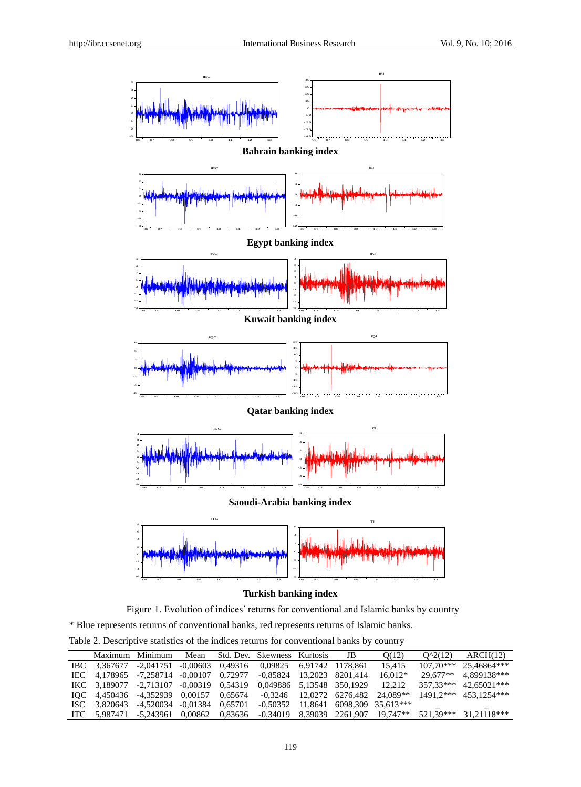

## **Turkish banking index**

Figure 1. Evolution of indices' returns for conventional and Islamic banks by country

\* Blue represents returns of conventional banks, red represents returns of Islamic banks.

Table 2. Descriptive statistics of the indices returns for conventional banks by country

|              | Maximum Minimum           | Mean                 |                    | Std. Dev. Skewness Kurtosis | JB                         | O(12)                                | $O^2(12)$   | ARCH(12)              |
|--------------|---------------------------|----------------------|--------------------|-----------------------------|----------------------------|--------------------------------------|-------------|-----------------------|
| IBC 3.367677 | -2.041751                 |                      | $-0.00603$ 0.49316 | 0.09825 6.91742 1178.861    |                            | 15.415                               | $107.70***$ | 25.46864***           |
| IEC 4.178965 | -7.258714                 |                      | $-0.00107$ 0.72977 | $-0.85824$ 13.2023 8201.414 |                            | $16.012*$                            | $29.677**$  | 4.899138***           |
| IKC 3.189077 | -2.713107                 | $-0.00319$ $0.54319$ |                    | 0,049886 5,13548 350,1929   |                            | 12.212                               | 357.33***   | $42.65021***$         |
| IOC 4.450436 | -4.352939 0.00157 0.65674 |                      |                    |                             | $-0.3246$ 12.0272 6276.482 | 24.089**                             |             | 1491.2*** 453.1254*** |
| ISC 3.820643 | -4.520034                 | $-0.01384$           | 0.65701            | -0.50352                    |                            | 11,8641 6098,309 35,613***           |             | -                     |
| ITC 5.987471 | -5.243961 0.00862 0.83636 |                      |                    |                             |                            | $-0.34019$ 8.39039 2261.907 19.747** | 521.39***   | 31.21118***           |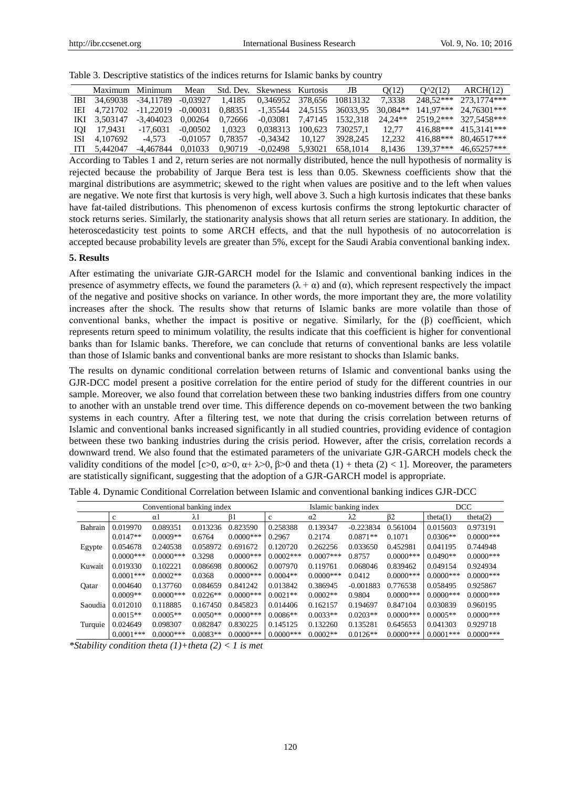| Table 3. Descriptive statistics of the indices returns for Islamic banks by country |  |  |  |  |
|-------------------------------------------------------------------------------------|--|--|--|--|
|-------------------------------------------------------------------------------------|--|--|--|--|

|      |              | Maximum Minimum | Mean       |         | Std. Dev. Skewness Kurtosis |         | JB                        | O(12)      | $O^2(12)$   | ARCH(12)      |
|------|--------------|-----------------|------------|---------|-----------------------------|---------|---------------------------|------------|-------------|---------------|
|      | IBI 34.69038 | -34.11789       | $-0.03927$ | 1.4185  |                             |         | 0.346952 378.656 10813132 | 7.3338     | 248.52***   | 273.1774***   |
|      | IEI 4.721702 | -11.22019       | $-0.00031$ | 0.88351 | -1.35544 24.5155            |         | 36033.95                  | $30.084**$ | $141.97***$ | 24.76301***   |
|      | IKI 3.503147 | -3.404023       | 0.00264    | 0.72666 | -0.03081 7.47145            |         | 1532.318                  | $24.24**$  | $2519.2***$ | 327.5458***   |
| ЮІ   | 17.9431      | $-17,6031$      | $-0.00502$ | 1.0323  | 0.038313                    | 100.623 | 730257.1                  | 12.77      | 416.88***   | 415.3141***   |
| ISI  | 4.107692     | $-4.573$        | $-0.01057$ | 0.78357 | -0.34342                    | 10.127  | 3928.245                  | 12.232     | 416.88***   | $80.46517***$ |
| ITI. | 5.442047     | -4.467844       | 0.01033    | 0.90719 | $-0.02498$                  | 5.93021 | 658.1014                  | 8.1436     | 139.37***   | 46.65257***   |

According to Tables 1 and 2, return series are not normally distributed, hence the null hypothesis of normality is rejected because the probability of Jarque Bera test is less than 0.05. Skewness coefficients show that the marginal distributions are asymmetric; skewed to the right when values are positive and to the left when values are negative. We note first that kurtosis is very high, well above 3. Such a high kurtosis indicates that these banks have fat-tailed distributions. This phenomenon of excess kurtosis confirms the strong leptokurtic character of stock returns series. Similarly, the stationarity analysis shows that all return series are stationary. In addition, the heteroscedasticity test points to some ARCH effects, and that the null hypothesis of no autocorrelation is accepted because probability levels are greater than 5%, except for the Saudi Arabia conventional banking index.

#### **5. Results**

After estimating the univariate GJR-GARCH model for the Islamic and conventional banking indices in the presence of asymmetry effects, we found the parameters  $(\lambda + \alpha)$  and  $(\alpha)$ , which represent respectively the impact of the negative and positive shocks on variance. In other words, the more important they are, the more volatility increases after the shock. The results show that returns of Islamic banks are more volatile than those of conventional banks, whether the impact is positive or negative. Similarly, for the (β) coefficient, which represents return speed to minimum volatility, the results indicate that this coefficient is higher for conventional banks than for Islamic banks. Therefore, we can conclude that returns of conventional banks are less volatile than those of Islamic banks and conventional banks are more resistant to shocks than Islamic banks.

The results on dynamic conditional correlation between returns of Islamic and conventional banks using the GJR-DCC model present a positive correlation for the entire period of study for the different countries in our sample. Moreover, we also found that correlation between these two banking industries differs from one country to another with an unstable trend over time. This difference depends on co-movement between the two banking systems in each country. After a filtering test, we note that during the crisis correlation between returns of Islamic and conventional banks increased significantly in all studied countries, providing evidence of contagion between these two banking industries during the crisis period. However, after the crisis, correlation records a downward trend. We also found that the estimated parameters of the univariate GJR-GARCH models check the validity conditions of the model [c>0,  $\alpha$ >0,  $\alpha$ + $\lambda$ >0,  $\beta$ >0 and theta (1) + theta (2) < 1]. Moreover, the parameters are statistically significant, suggesting that the adoption of a GJR-GARCH model is appropriate.

|         |             | Conventional banking index |             |              |              | Islamic banking index |             | DCC          |              |             |
|---------|-------------|----------------------------|-------------|--------------|--------------|-----------------------|-------------|--------------|--------------|-------------|
|         | c           | $\alpha$                   | $\lambda$ 1 | B1           | $\mathbf{c}$ | $\alpha$ 2            | $\lambda$ 2 | β2           | theta(1)     | theta $(2)$ |
| Bahrain | 0.019970    | 0.089351                   | 0.013236    | 0.823590     | 0.258388     | 0.139347              | $-0.223834$ | 0.561004     | 0.015603     | 0.973191    |
|         | $0.0147**$  | $0.0009**$                 | 0.6764      | $0.0000***$  | 0.2967       | 0.2174                | $0.0871**$  | 0.1071       | $0.0306**$   | $0.0000***$ |
| Egypte  | 0.054678    | 0.240538                   | 0.058972    | 0.691672     | 0.120720     | 0.262256              | 0.033650    | 0.452981     | 0.041195     | 0.744948    |
|         | $0.0000***$ | $0.0000***$                | 0.3298      | $0.0000$ *** | $0.0002$ *** | $0.0007***$           | 0.8757      | $0.0000$ *** | $0.0490**$   | $0.0000***$ |
| Kuwait  | 0.019330    | 0.102221                   | 0.086698    | 0.800062     | 0.007970     | 0.119761              | 0.068046    | 0.839462     | 0.049154     | 0.924934    |
|         | $0.0001***$ | $0.0002**$                 | 0.0368      | $0.0000***$  | $0.0004**$   | $0.0000***$           | 0.0412      | $0.0000***$  | $0.0000***$  | $0.0000***$ |
| Oatar   | 0.004640    | 0.137760                   | 0.084659    | 0.841242     | 0.013842     | 0.386945              | $-0.001883$ | 0.776538     | 0.058495     | 0.925867    |
|         | $0.0009**$  | $0.0000$ ***               | $0.0226**$  | $0.0000$ *** | $0.0021**$   | $0.0002**$            | 0.9804      | $0.0000***$  | $0.0000***$  | $0.0000***$ |
| Saoudia | 0.012010    | 0.118885                   | 0.167450    | 0.845823     | 0.014406     | 0.162157              | 0.194697    | 0.847104     | 0.030839     | 0.960195    |
|         | $0.0015**$  | $0.0005**$                 | $0.0050**$  | $0.0000***$  | $0.0086**$   | $0.0033**$            | $0.0203**$  | $0.0000***$  | $0.0005**$   | $0.0000***$ |
| Turquie | 0.024649    | 0.098307                   | 0.082847    | 0.830225     | 0.145125     | 0.132260              | 0.135281    | 0.645653     | 0.041303     | 0.929718    |
|         | $0.0001***$ | $0.0000$ ***               | $0.0083**$  | $0.0000***$  | $0.0000***$  | $0.0002**$            | $0.0126**$  | $0.0000$ *** | $0.0001$ *** | $0.0000***$ |

Table 4. Dynamic Conditional Correlation between Islamic and conventional banking indices GJR-DCC

*\*Stability condition theta (1)+theta (2) < 1 is met*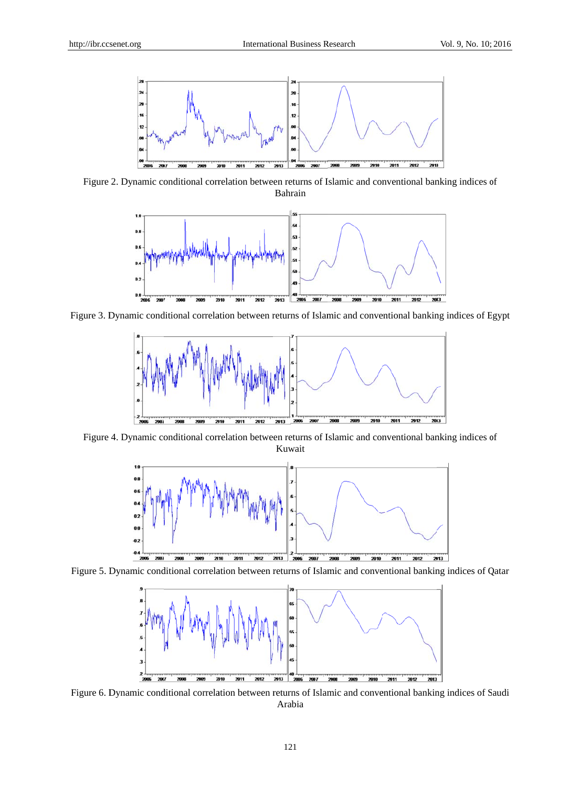

Figure 2. Dynamic conditional correlation between returns of Islamic and conventional banking indices of Bahrain



Figure 3. Dynamic conditional correlation between returns of Islamic and conventional banking indices of Egypt



Figure 4. Dynamic conditional correlation between returns of Islamic and conventional banking indices of Kuwait



Figure 5. Dynamic conditional correlation between returns of Islamic and conventional banking indices of Qatar



Figure 6. Dynamic conditional correlation between returns of Islamic and conventional banking indices of Saudi Arabia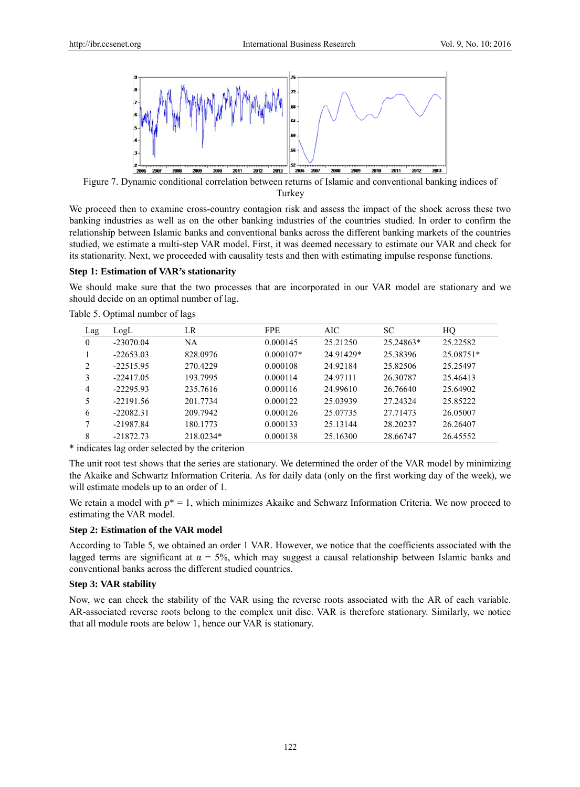

Figure 7. Dynamic conditional correlation between returns of Islamic and conventional banking indices of Turkey

We proceed then to examine cross-country contagion risk and assess the impact of the shock across these two banking industries as well as on the other banking industries of the countries studied. In order to confirm the relationship between Islamic banks and conventional banks across the different banking markets of the countries studied, we estimate a multi-step VAR model. First, it was deemed necessary to estimate our VAR and check for its stationarity. Next, we proceeded with causality tests and then with estimating impulse response functions.

#### **Step 1: Estimation of VAR's stationarity**

We should make sure that the two processes that are incorporated in our VAR model are stationary and we should decide on an optimal number of lag.

| Lag | LogL        | LR        | <b>FPE</b>  | AIC       | <b>SC</b> | HQ        |
|-----|-------------|-----------|-------------|-----------|-----------|-----------|
| 0   | $-23070.04$ | NA        | 0.000145    | 25.21250  | 25.24863* | 25.22582  |
|     | $-22653.03$ | 828.0976  | $0.000107*$ | 24.91429* | 25.38396  | 25.08751* |
| 2   | $-22515.95$ | 270.4229  | 0.000108    | 24.92184  | 25.82506  | 25.25497  |
|     | $-22417.05$ | 193.7995  | 0.000114    | 24.97111  | 26.30787  | 25.46413  |
| 4   | $-22295.93$ | 235.7616  | 0.000116    | 24.99610  | 26.76640  | 25.64902  |
| 5   | $-22191.56$ | 201.7734  | 0.000122    | 25.03939  | 27.24324  | 25.85222  |
| 6   | $-22082.31$ | 209.7942  | 0.000126    | 25.07735  | 27.71473  | 26.05007  |
|     | $-21987.84$ | 180.1773  | 0.000133    | 25.13144  | 28.20237  | 26.26407  |
| 8   | $-21872.73$ | 218.0234* | 0.000138    | 25.16300  | 28.66747  | 26.45552  |

Table 5. O Optimal numbe r of lags

\* indicates lag order selected by the criterion

The unit root test shows that the series are stationary. We determined the order of the VAR model by minimizing the Akaike and Schwartz Information Criteria. As for daily data (only on the first working day of the week), we will estimate models up to an order of 1.

We retain a model with  $p^* = 1$ , which minimizes Akaike and Schwarz Information Criteria. We now proceed to estimating the VAR model.

## **Step 2: Estimation of the VAR model**

According to Table 5, we obtained an order 1 VAR. However, we notice that the coefficients associated with the lagged terms are significant at  $\alpha = 5\%$ , which may suggest a causal relationship between Islamic banks and conventional banks across the different studied countries.

## **Step 3: VAR stability**

Now, we can check the stability of the VAR using the reverse roots associated with the AR of each variable. AR-associated reverse roots belong to the complex unit disc. VAR is therefore stationary. Similarly, we notice that all module roots are below 1, hence our VAR is stationary.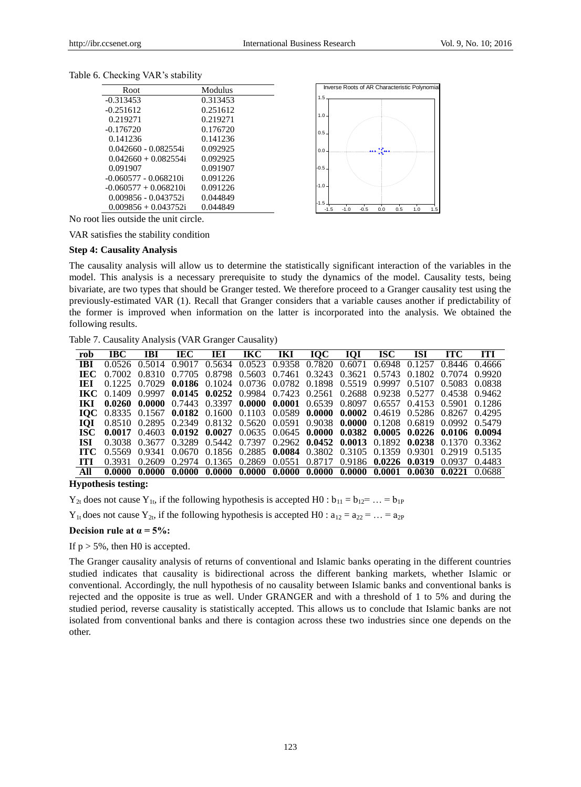| Modulus  |
|----------|
| 0.313453 |
| 0.251612 |
| 0.219271 |
| 0.176720 |
| 0.141236 |
| 0.092925 |
| 0.092925 |
| 0.091907 |
| 0.091226 |
| 0.091226 |
| 0.044849 |
| 0.044849 |
|          |



Table 6. Checking VAR's stability

No root lies outside the unit circle.

VAR satisfies the stability condition

## **Step 4: Causality Analysis**

The causality analysis will allow us to determine the statistically significant interaction of the variables in the model. This analysis is a necessary prerequisite to study the dynamics of the model. Causality tests, being bivariate, are two types that should be Granger tested. We therefore proceed to a Granger causality test using the previously-estimated VAR (1). Recall that Granger considers that a variable causes another if predictability of the former is improved when information on the latter is incorporated into the analysis. We obtained the following results.

Table 7. Causality Analysis (VAR Granger Causality)

| rob        | IBC.                                                                                                        | <b>IBI</b> |  |  | IEC IEI IKC IKI IQC IQI ISC ISI ITC                                                                         |  |        | TTI    |
|------------|-------------------------------------------------------------------------------------------------------------|------------|--|--|-------------------------------------------------------------------------------------------------------------|--|--------|--------|
| <b>IBI</b> |                                                                                                             |            |  |  | 0.0526 0.5014 0.9017 0.5634 0.0523 0.9358 0.7820 0.6071 0.6948 0.1257 0.8446 0.4666                         |  |        |        |
| TEC.       |                                                                                                             |            |  |  | 0.7002 0.8310 0.7705 0.8798 0.5603 0.7461 0.3243 0.3621 0.5743 0.1802 0.7074 0.9920                         |  |        |        |
| TEL        |                                                                                                             |            |  |  | 0.1225 0.7029 0.0186 0.1024 0.0736 0.0782 0.1898 0.5519 0.9997 0.5107 0.5083 0.0838                         |  |        |        |
|            | <b>IKC</b> 0.1409 0.9997 0.0145 0.0252 0.9984 0.7423 0.2561 0.2688 0.9238 0.5277 0.4538 0.9462              |            |  |  |                                                                                                             |  |        |        |
|            | <b>IKI 0.0260 0.0000</b> 0.7443 0.3397 <b>0.0000 0.0001</b> 0.6539 0.8097 0.6557 0.4153 0.5901 0.1286       |            |  |  |                                                                                                             |  |        |        |
|            | <b>IOC</b> 0.8335 0.1567 0.0182 0.1600 0.1103 0.0589 0.0000 0.0002 0.4619 0.5286 0.8267 0.4295              |            |  |  |                                                                                                             |  |        |        |
| ЮІ         |                                                                                                             |            |  |  | 0.8510 0.2895 0.2349 0.8132 0.5620 0.0591 0.9038 0.0000 0.1208 0.6819 0.0992 0.5479                         |  |        |        |
| ISC -      | $0.0017$ $0.4603$ $0.0192$ $0.0027$ $0.0635$ $0.0645$ $0.0000$ $0.0382$ $0.0005$ $0.0226$ $0.0106$ $0.0094$ |            |  |  |                                                                                                             |  |        |        |
| -ISI       |                                                                                                             |            |  |  | $0.3038$ $0.3677$ $0.3289$ $0.5442$ $0.7397$ $0.2962$ $0.0452$ $0.0013$ $0.1892$ $0.0238$ $0.1370$ $0.3362$ |  |        |        |
| TTC.       |                                                                                                             |            |  |  | $0.5569$ $0.9341$ $0.0670$ $0.1856$ $0.2885$ $0.0084$ $0.3802$ $0.3105$ $0.1359$ $0.9301$ $0.2919$ $0.5135$ |  |        |        |
| тт         | 0.3931                                                                                                      |            |  |  | $0.2609$ $0.2974$ $0.1365$ $0.2869$ $0.0551$ $0.8717$ $0.9186$ $0.0226$ $0.0319$ $0.0937$                   |  |        | 0.4483 |
|            |                                                                                                             | 0.0000     |  |  | $0.0000$ $0.0000$ $0.0000$ $0.0000$ $0.0000$ $0.0000$ $0.0001$ $0.0030$                                     |  | 0.0221 | 0.0688 |

**Hypothesis testing:**

 $Y_{2t}$  does not cause  $Y_{1t}$ , if the following hypothesis is accepted H0 :  $b_{11} = b_{12} = ... = b_{1P}$ 

 $Y_{1t}$  does not cause  $Y_{2t}$ , if the following hypothesis is accepted H0 :  $a_{12} = a_{22} = ... = a_{2P}$ 

**Decision rule at**  $\alpha = 5\%$ **:** 

If  $p > 5\%$ , then H0 is accepted.

The Granger causality analysis of returns of conventional and Islamic banks operating in the different countries studied indicates that causality is bidirectional across the different banking markets, whether Islamic or conventional. Accordingly, the null hypothesis of no causality between Islamic banks and conventional banks is rejected and the opposite is true as well. Under GRANGER and with a threshold of 1 to 5% and during the studied period, reverse causality is statistically accepted. This allows us to conclude that Islamic banks are not isolated from conventional banks and there is contagion across these two industries since one depends on the other.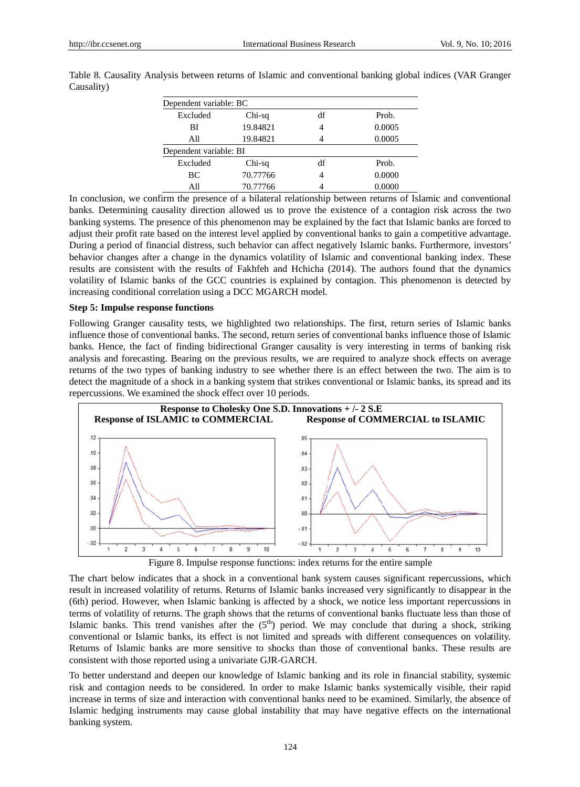| Dependent variable: BC |          |    |        |  |  |  |  |  |  |
|------------------------|----------|----|--------|--|--|--|--|--|--|
| Excluded               | Chi-sq   | df | Prob.  |  |  |  |  |  |  |
| ВI                     | 19.84821 | 4  | 0.0005 |  |  |  |  |  |  |
| All                    | 19.84821 |    | 0.0005 |  |  |  |  |  |  |
| Dependent variable: BI |          |    |        |  |  |  |  |  |  |
| Excluded               | Chi-sq   | df | Prob.  |  |  |  |  |  |  |
| BC                     | 70.77766 | 4  | 0.0000 |  |  |  |  |  |  |
| All                    | 70.77766 |    | 0.0000 |  |  |  |  |  |  |

Table 8. Causality Analysis between returns of Islamic and conventional banking global indices (VAR Granger Causality)

In conclusion, we confirm the presence of a bilateral relationship between returns of Islamic and conventional banks. Determining causality direction allowed us to prove the existence of a contagion risk across the two banking systems. The presence of this phenomenon may be explained by the fact that Islamic banks are forced to adjust their profit rate based on the interest level applied by conventional banks to gain a competitive advantage. During a period of financial distress, such behavior can affect negatively Islamic banks. Furthermore, investors' behavior changes after a change in the dynamics volatility of Islamic and conventional banking index. These results are consistent with the results of Fakhfeh and Hchicha (2014). The authors found that the dynamics volatility of Islamic banks of the GCC countries is explained by contagion. This phenomenon is detected by increasing conditional correlation using a DCC MGARCH model.

#### **Step 5: Impulse response functions**

Following Granger causality tests, we highlighted two relationships. The first, return series of Islamic banks influence those of conventional banks. The second, return series of conventional banks influence those of Islamic banks. Hence, the fact of finding bidirectional Granger causality is very interesting in terms of banking risk analysis and forecasting. Bearing on the previous results, we are required to analyze shock effects on average returns of the two types of banking industry to see whether there is an effect between the two. The aim is to detect the magnitude of a shock in a banking system that strikes conventional or Islamic banks, its spread and its repercussions. We examined the shock effect over 10 periods.



Figure 8. Impulse response functions: index returns for the entire sample

The chart below indicates that a shock in a conventional bank system causes significant repercussions, which result in increased volatility of returns. Returns of Islamic banks increased very significantly to disappear in the (6th) period. However, when Islamic banking is affected by a shock, we notice less important repercussions in terms of volatility of returns. The graph shows that the returns of conventional banks fluctuate less than those of Islamic banks. This trend vanishes after the  $(5<sup>th</sup>)$  period. We may conclude that during a shock, striking conventional or Islamic banks, its effect is not limited and spreads with different consequences on volatility. Returns of Islamic banks are more sensitive to shocks than those of conventional banks. These results are consistent with those reported using a univariate GJR-GARCH.

To better understand and deepen our knowledge of Islamic banking and its role in financial stability, systemic risk and contagion needs to be considered. In order to make Islamic banks systemically visible, their rapid increase in terms of size and interaction with conventional banks need to be examined. Similarly, the absence of Islamic hedging instruments may cause global instability that may have negative effects on the international banking system.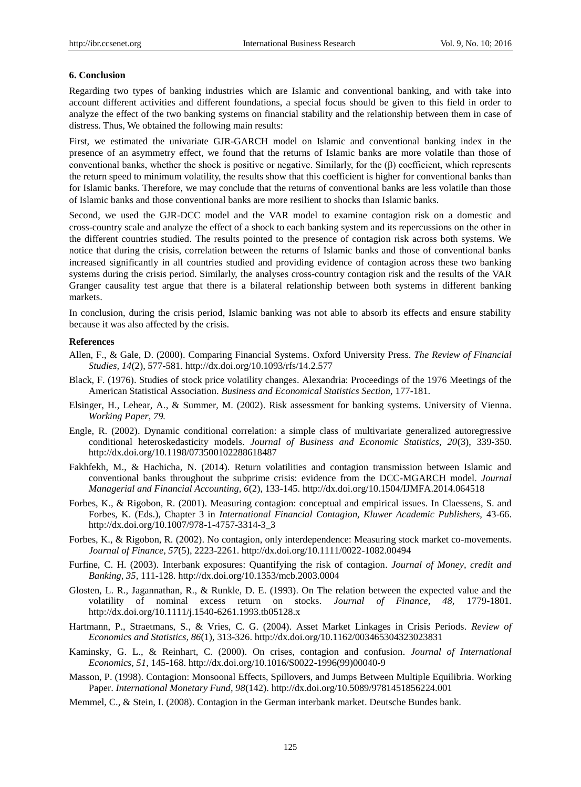#### **6. Conclusion**

Regarding two types of banking industries which are Islamic and conventional banking, and with take into account different activities and different foundations, a special focus should be given to this field in order to analyze the effect of the two banking systems on financial stability and the relationship between them in case of distress. Thus, We obtained the following main results:

First, we estimated the univariate GJR-GARCH model on Islamic and conventional banking index in the presence of an asymmetry effect, we found that the returns of Islamic banks are more volatile than those of conventional banks, whether the shock is positive or negative. Similarly, for the (β) coefficient, which represents the return speed to minimum volatility, the results show that this coefficient is higher for conventional banks than for Islamic banks. Therefore, we may conclude that the returns of conventional banks are less volatile than those of Islamic banks and those conventional banks are more resilient to shocks than Islamic banks.

Second, we used the GJR-DCC model and the VAR model to examine contagion risk on a domestic and cross-country scale and analyze the effect of a shock to each banking system and its repercussions on the other in the different countries studied. The results pointed to the presence of contagion risk across both systems. We notice that during the crisis, correlation between the returns of Islamic banks and those of conventional banks increased significantly in all countries studied and providing evidence of contagion across these two banking systems during the crisis period. Similarly, the analyses cross-country contagion risk and the results of the VAR Granger causality test argue that there is a bilateral relationship between both systems in different banking markets.

In conclusion, during the crisis period, Islamic banking was not able to absorb its effects and ensure stability because it was also affected by the crisis.

#### **References**

- Allen, F., & Gale, D. (2000). Comparing Financial Systems. Oxford University Press. *The Review of Financial Studies, 14*(2), 577-581. <http://dx.doi.org/10.1093/rfs/14.2.577>
- Black, F. (1976). Studies of stock price volatility changes. Alexandria: Proceedings of the 1976 Meetings of the American Statistical Association. *Business and Economical Statistics Section,* 177-181.
- Elsinger, H., Lehear, A., & Summer, M. (2002). Risk assessment for banking systems. University of Vienna. *Working Paper, 79.*
- Engle, R. (2002). Dynamic conditional correlation: a simple class of multivariate generalized autoregressive conditional heteroskedasticity models. *Journal of Business and Economic Statistics, 20*(3), 339-350. <http://dx.doi.org/10.1198/073500102288618487>
- Fakhfekh, M., & Hachicha, N. (2014). Return volatilities and contagion transmission between Islamic and conventional banks throughout the subprime crisis: evidence from the DCC-MGARCH model. *Journal Managerial and Financial Accounting, 6*(2), 133-145. <http://dx.doi.org/10.1504/IJMFA.2014.064518>
- Forbes, K., & Rigobon, R. (2001). Measuring contagion: conceptual and empirical issues. In Claessens, S. and Forbes, K. (Eds.), Chapter 3 in *International Financial Contagion, Kluwer Academic Publishers,* 43-66. [http://dx.doi.org/10.1007/978-1-4757-3314-3\\_3](http://dx.doi.org/10.1007/978-1-4757-3314-3_3)
- Forbes, K., & Rigobon, R. (2002). No contagion, only interdependence: Measuring stock market co-movements. *Journal of Finance, 57*(5), 2223-2261. <http://dx.doi.org/10.1111/0022-1082.00494>
- Furfine, C. H. (2003). Interbank exposures: Quantifying the risk of contagion. *Journal of Money, credit and Banking, 35,* 111-128. <http://dx.doi.org/10.1353/mcb.2003.0004>
- Glosten, L. R., Jagannathan, R., & Runkle, D. E. (1993). On The relation between the expected value and the volatility of nominal excess return on stocks. *Journal of Finance, 48,* 1779-1801. <http://dx.doi.org/10.1111/j.1540-6261.1993.tb05128.x>
- Hartmann, P., Straetmans, S., & Vries, C. G. (2004). Asset Market Linkages in Crisis Periods. *Review of Economics and Statistics, 86*(1), 313-326. <http://dx.doi.org/10.1162/003465304323023831>
- Kaminsky, G. L., & Reinhart, C. (2000). On crises, contagion and confusion. *Journal of International Economics, 51,* 145-168. [http://dx.doi.org/10.1016/S0022-1996\(99\)00040-9](http://dx.doi.org/10.1016/S0022-1996%2899%2900040-9)
- Masson, P. (1998). Contagion: Monsoonal Effects, Spillovers, and Jumps Between Multiple Equilibria. Working Paper. *International Monetary Fund, 98*(142).<http://dx.doi.org/10.5089/9781451856224.001>
- Memmel, C., & Stein, I. (2008). Contagion in the German interbank market. Deutsche Bundes bank.